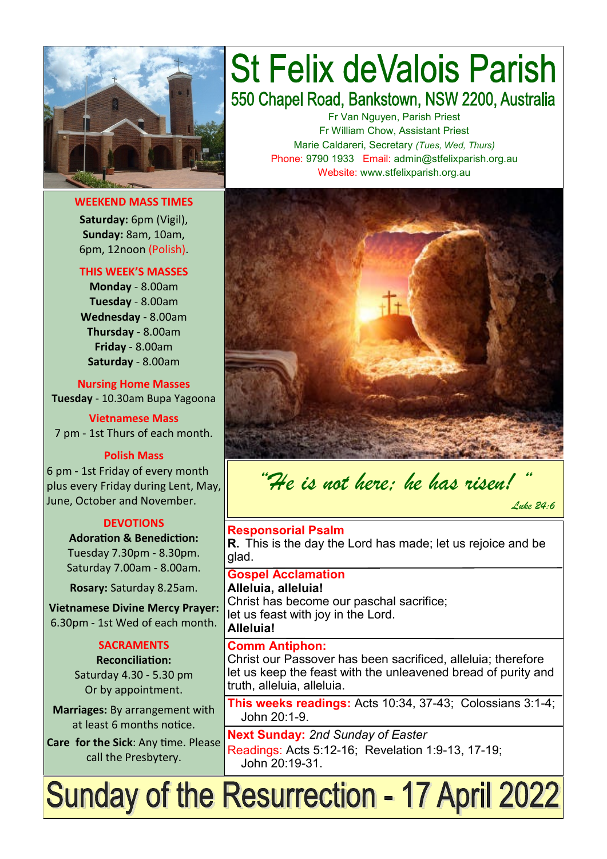

**WEEKEND MASS TIMES**

**Saturday:** 6pm (Vigil), **Sunday:** 8am, 10am, 6pm, 12noon (Polish).

#### **THIS WEEK'S MASSES**

**Monday** - 8.00am **Tuesday** - 8.00am **Wednesday** - 8.00am **Thursday** - 8.00am **Friday** - 8.00am **Saturday** - 8.00am

**Nursing Home Masses Tuesday** - 10.30am Bupa Yagoona

**Vietnamese Mass** 7 pm - 1st Thurs of each month.

#### **Polish Mass**

6 pm - 1st Friday of every month plus every Friday during Lent, May, June, October and November.

#### **DEVOTIONS**

**Adoration & Benediction:**  Tuesday 7.30pm - 8.30pm. Saturday 7.00am - 8.00am.

**Rosary:** Saturday 8.25am.

**Vietnamese Divine Mercy Prayer:** 6.30pm - 1st Wed of each month.

# **SACRAMENTS**

**Reconciliation:**  Saturday 4.30 - 5.30 pm Or by appointment.

**Marriages:** By arrangement with at least 6 months notice.

**Care for the Sick**: Any time. Please call the Presbytery.

# **St Felix deValois Parish** 550 Chapel Road, Bankstown, NSW 2200, Australia

Fr Van Nguyen, Parish Priest Fr William Chow, Assistant Priest Marie Caldareri, Secretary *(Tues, Wed, Thurs)* Phone: 9790 1933 Email: admin@stfelixparish.org.au Website: www.stfelixparish.org.au



*"He is not here; he has risen! " Luke 24:6*

#### **Responsorial Psalm R.** This is the day the Lord has made; let us rejoice and be glad.

**Gospel Acclamation Alleluia, alleluia!** Christ has become our paschal sacrifice; let us feast with joy in the Lord.

**Alleluia!**

#### **Comm Antiphon:**

Christ our Passover has been sacrificed, alleluia; therefore let us keep the feast with the unleavened bread of purity and truth, alleluia, alleluia.

**This weeks readings:** Acts 10:34, 37-43; Colossians 3:1-4; John 20:1-9.

**Next Sunday:** *2nd Sunday of Easter*  Readings: Acts 5:12-16; Revelation 1:9-13, 17-19; John 20:19-31.

# Sunday of the Resurrection - 17 April 2022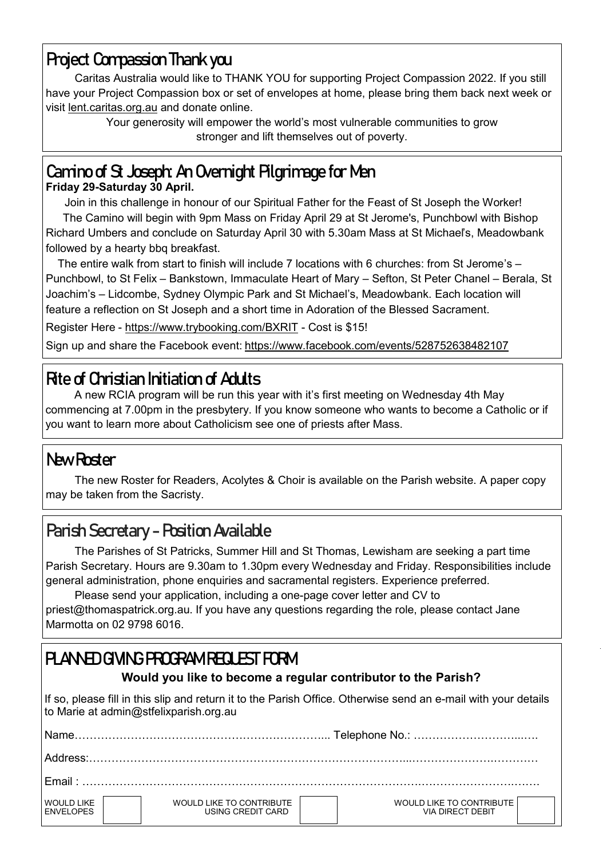# **Project Compassion Thank you**

Caritas Australia would like to THANK YOU for supporting Project Compassion 2022. If you still have your Project Compassion box or set of envelopes at home, please bring them back next week or visit lent.caritas.org.au and donate online.

Your generosity will empower the world's most vulnerable communities to grow stronger and lift themselves out of poverty.

# **Camino of St Joseph: An Overnight Pilgrimage for Men**

#### **Friday 29-Saturday 30 April.**

 Join in this challenge in honour of our Spiritual Father for the Feast of St Joseph the Worker! The Camino will begin with 9pm Mass on Friday April 29 at St Jerome's, Punchbowl with Bishop Richard Umbers and conclude on Saturday April 30 with 5.30am Mass at St Michael's, Meadowbank followed by a hearty bbq breakfast.

 The entire walk from start to finish will include 7 locations with 6 churches: from St Jerome's – Punchbowl, to St Felix – Bankstown, Immaculate Heart of Mary – Sefton, St Peter Chanel – Berala, St Joachim's – Lidcombe, Sydney Olympic Park and St Michael's, Meadowbank. Each location will feature a reflection on St Joseph and a short time in Adoration of the Blessed Sacrament.

Register Here - [https://www.trybooking.com/BXRIT](https://comms.sydneycatholic.org/ch/75218/vtw0w/2219494/R.Kyu99PAZgna7b6kde.BZ_0cGVo9bfygkz53irF.html) - Cost is \$15!

Sign up and share the Facebook event: [https://www.facebook.com/events/528752638482107](https://comms.sydneycatholic.org/ch/75218/vtw0w/2219495/R.Kyu99PAZgna7b6kde.en4KLX9DhEVd5mISCony.html)

# **[Rite of Christian Initiation of Adults](https://en.wikipedia.org/wiki/Rite_of_Christian_Initiation_of_Adults)**

A new RCIA program will be run this year with it's first meeting on Wednesday 4th May commencing at 7.00pm in the presbytery. If you know someone who wants to become a Catholic or if you want to learn more about Catholicism see one of priests after Mass.

# **New Roster**

The new Roster for Readers, Acolytes & Choir is available on the Parish website. A paper copy may be taken from the Sacristy.

# **Parish Secretary - Position Available**

The Parishes of St Patricks, Summer Hill and St Thomas, Lewisham are seeking a part time Parish Secretary. Hours are 9.30am to 1.30pm every Wednesday and Friday. Responsibilities include general administration, phone enquiries and sacramental registers. Experience preferred.

Please send your application, including a one-page cover letter and CV to [priest@thomaspatrick.org.au.](mailto:priest@thomaspatrick.org.au) If you have any questions regarding the role, please contact Jane Marmotta on 02 9798 6016.

# **PLANNED GIVING PROGRAM REQUEST FORM**

#### **Would you like to become a regular contributor to the Parish?**

If so, please fill in this slip and return it to the Parish Office. Otherwise send an e-mail with your details to Marie at admin@stfelixparish.org.au

| Name                                  |                                               |                                              |  |  |  |
|---------------------------------------|-----------------------------------------------|----------------------------------------------|--|--|--|
| Address:                              |                                               |                                              |  |  |  |
| $F$ mail $\cdot$                      |                                               |                                              |  |  |  |
| <b>WOULD LIKE</b><br><b>ENVELOPES</b> | WOULD LIKE TO CONTRIBUTE<br>USING CREDIT CARD | WOULD LIKE TO CONTRIBUTE<br>VIA DIRECT DEBIT |  |  |  |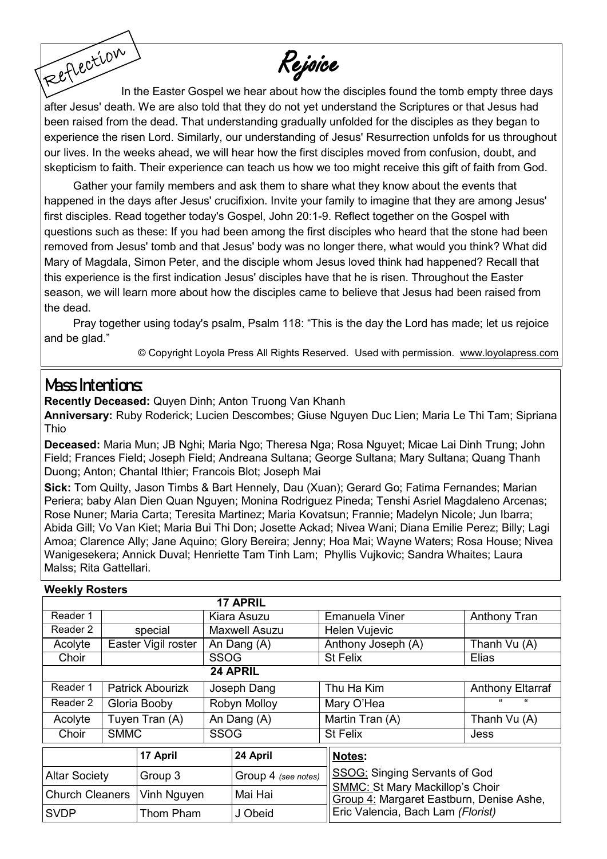Rejoice

Reflection In the Easter Gospel we hear about how the disciples found the tomb empty three days after Jesus' death. We are also told that they do not yet understand the Scriptures or that Jesus had been raised from the dead. That understanding gradually unfolded for the disciples as they began to experience the risen Lord. Similarly, our understanding of Jesus' Resurrection unfolds for us throughout our lives. In the weeks ahead, we will hear how the first disciples moved from confusion, doubt, and skepticism to faith. Their experience can teach us how we too might receive this gift of faith from God.

Gather your family members and ask them to share what they know about the events that happened in the days after Jesus' crucifixion. Invite your family to imagine that they are among Jesus' first disciples. Read together today's Gospel, John 20:1-9. Reflect together on the Gospel with questions such as these: If you had been among the first disciples who heard that the stone had been removed from Jesus' tomb and that Jesus' body was no longer there, what would you think? What did Mary of Magdala, Simon Peter, and the disciple whom Jesus loved think had happened? Recall that this experience is the first indication Jesus' disciples have that he is risen. Throughout the Easter season, we will learn more about how the disciples came to believe that Jesus had been raised from the dead.

Pray together using today's psalm, Psalm 118: "This is the day the Lord has made; let us rejoice and be glad."

© Copyright Loyola Press All Rights Reserved. Used with permission. [www.loyolapress.com](http://www.loyolapress.com)

### **Mass Intentions:**

**Recently Deceased:** Quyen Dinh; Anton Truong Van Khanh

**Anniversary:** Ruby Roderick; Lucien Descombes; Giuse Nguyen Duc Lien; Maria Le Thi Tam; Sipriana Thio

**Deceased:** Maria Mun; JB Nghi; Maria Ngo; Theresa Nga; Rosa Nguyet; Micae Lai Dinh Trung; John Field; Frances Field; Joseph Field; Andreana Sultana; George Sultana; Mary Sultana; Quang Thanh Duong; Anton; Chantal Ithier; Francois Blot; Joseph Mai

**Sick:** Tom Quilty, Jason Timbs & Bart Hennely, Dau (Xuan); Gerard Go; Fatima Fernandes; Marian Periera; baby Alan Dien Quan Nguyen; Monina Rodriguez Pineda; Tenshi Asriel Magdaleno Arcenas; Rose Nuner; Maria Carta; Teresita Martinez; Maria Kovatsun; Frannie; Madelyn Nicole; Jun Ibarra; Abida Gill; Vo Van Kiet; Maria Bui Thi Don; Josette Ackad; Nivea Wani; Diana Emilie Perez; Billy; Lagi Amoa; Clarence Ally; Jane Aquino; Glory Bereira; Jenny; Hoa Mai; Wayne Waters; Rosa House; Nivea Wanigesekera; Annick Duval; Henriette Tam Tinh Lam; Phyllis Vujkovic; Sandra Whaites; Laura Malss; Rita Gattellari.

| <b>INGERIA ITASIEIS</b> |                |                         |                      |                     |  |                                                                                                                                                                    |                         |  |  |  |  |
|-------------------------|----------------|-------------------------|----------------------|---------------------|--|--------------------------------------------------------------------------------------------------------------------------------------------------------------------|-------------------------|--|--|--|--|
|                         |                |                         |                      | <b>17 APRIL</b>     |  |                                                                                                                                                                    |                         |  |  |  |  |
| Reader 1                |                |                         | Kiara Asuzu          |                     |  | <b>Emanuela Viner</b>                                                                                                                                              | <b>Anthony Tran</b>     |  |  |  |  |
| Reader 2                | special        |                         | <b>Maxwell Asuzu</b> |                     |  | Helen Vujevic                                                                                                                                                      |                         |  |  |  |  |
| Acolyte                 |                | Easter Vigil roster     | An Dang (A)          |                     |  | Anthony Joseph (A)                                                                                                                                                 | Thanh Vu (A)            |  |  |  |  |
| Choir                   |                |                         | <b>SSOG</b>          |                     |  | <b>St Felix</b>                                                                                                                                                    | Elias                   |  |  |  |  |
| 24 APRIL                |                |                         |                      |                     |  |                                                                                                                                                                    |                         |  |  |  |  |
| Reader 1                |                | <b>Patrick Abourizk</b> | Joseph Dang          |                     |  | Thu Ha Kim                                                                                                                                                         | <b>Anthony Eltarraf</b> |  |  |  |  |
| Reader 2                | Gloria Booby   |                         | Robyn Molloy         |                     |  | Mary O'Hea                                                                                                                                                         | "                       |  |  |  |  |
| Acolyte                 | Tuyen Tran (A) |                         | An Dang (A)          |                     |  | Martin Tran (A)                                                                                                                                                    | Thanh Vu (A)            |  |  |  |  |
| Choir                   | <b>SMMC</b>    |                         | <b>SSOG</b>          |                     |  | <b>St Felix</b>                                                                                                                                                    | Jess                    |  |  |  |  |
|                         |                | 17 April                |                      | 24 April            |  | Notes:<br>SSOG: Singing Servants of God<br><b>SMMC: St Mary Mackillop's Choir</b><br>Group 4: Margaret Eastburn, Denise Ashe,<br>Eric Valencia, Bach Lam (Florist) |                         |  |  |  |  |
| <b>Altar Society</b>    |                | Group 3                 |                      | Group 4 (see notes) |  |                                                                                                                                                                    |                         |  |  |  |  |
| <b>Church Cleaners</b>  |                | Vinh Nguyen             |                      | Mai Hai             |  |                                                                                                                                                                    |                         |  |  |  |  |
| <b>SVDP</b>             |                | Thom Pham               |                      | J Obeid             |  |                                                                                                                                                                    |                         |  |  |  |  |

#### **Weekly Rosters**